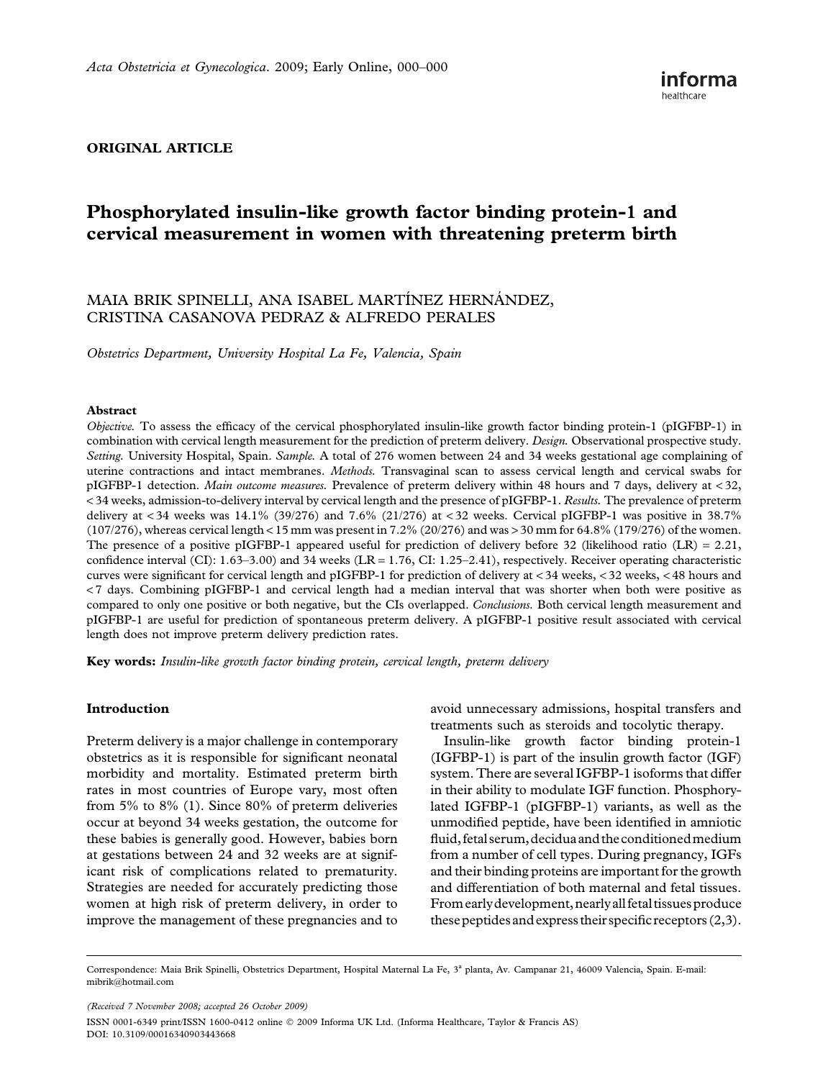## ORIGINAL ARTICLE

# Phosphorylated insulin-like growth factor binding protein-1 and cervical measurement in women with threatening preterm birth

# MAIA BRIK SPINELLI, ANA ISABEL MARTÍNEZ HERNÁNDEZ, CRISTINA CASANOVA PEDRAZ & ALFREDO PERALES

Obstetrics Department, University Hospital La Fe, Valencia, Spain

#### Abstract

Objective. To assess the efficacy of the cervical phosphorylated insulin-like growth factor binding protein-1 (pIGFBP-1) in combination with cervical length measurement for the prediction of preterm delivery. Design. Observational prospective study. Setting. University Hospital, Spain. Sample. A total of 276 women between 24 and 34 weeks gestational age complaining of uterine contractions and intact membranes. Methods. Transvaginal scan to assess cervical length and cervical swabs for pIGFBP-1 detection. Main outcome measures. Prevalence of preterm delivery within 48 hours and 7 days, delivery at < 32, < 34 weeks, admission-to-delivery interval by cervical length and the presence of pIGFBP-1. Results. The prevalence of preterm delivery at  $< 34$  weeks was  $14.1\%$  (39/276) and 7.6% (21/276) at  $< 32$  weeks. Cervical pIGFBP-1 was positive in 38.7%  $(107/276)$ , whereas cervical length < 15 mm was present in 7.2%  $(20/276)$  and was > 30 mm for 64.8%  $(179/276)$  of the women. The presence of a positive pIGFBP-1 appeared useful for prediction of delivery before 32 (likelihood ratio  $(LR) = 2.21$ , confidence interval (CI):  $1.63-3.00$ ) and  $34$  weeks (LR = 1.76, CI:  $1.25-2.41$ ), respectively. Receiver operating characteristic curves were significant for cervical length and pIGFBP-1 for prediction of delivery at < 34 weeks, < 32 weeks, < 48 hours and < 7 days. Combining pIGFBP-1 and cervical length had a median interval that was shorter when both were positive as compared to only one positive or both negative, but the CIs overlapped. Conclusions. Both cervical length measurement and pIGFBP-1 are useful for prediction of spontaneous preterm delivery. A pIGFBP-1 positive result associated with cervical length does not improve preterm delivery prediction rates.

Key words: Insulin-like growth factor binding protein, cervical length, preterm delivery

#### Introduction

Preterm delivery is a major challenge in contemporary obstetrics as it is responsible for significant neonatal morbidity and mortality. Estimated preterm birth rates in most countries of Europe vary, most often from 5% to 8% (1). Since 80% of preterm deliveries occur at beyond 34 weeks gestation, the outcome for these babies is generally good. However, babies born at gestations between 24 and 32 weeks are at significant risk of complications related to prematurity. Strategies are needed for accurately predicting those women at high risk of preterm delivery, in order to improve the management of these pregnancies and to avoid unnecessary admissions, hospital transfers and treatments such as steroids and tocolytic therapy.

Insulin-like growth factor binding protein-1 (IGFBP-1) is part of the insulin growth factor (IGF) system. There are several IGFBP-1 isoforms that differ in their ability to modulate IGF function. Phosphorylated IGFBP-1 (pIGFBP-1) variants, as well as the unmodified peptide, have been identified in amniotic fluid, fetal serum, decidua and the conditioned medium from a number of cell types. During pregnancy, IGFs and their binding proteins are important for the growth and differentiation of both maternal and fetal tissues. From early development, nearly all fetal tissues produce these peptidesand express their specific receptors (2,3).

(Received 7 November 2008; accepted 26 October 2009) ISSN 0001-6349 print/ISSN 1600-0412 online 2009 Informa UK Ltd. (Informa Healthcare, Taylor & Francis AS) DOI: 10.3109/00016340903443668

Correspondence: Maia Brik Spinelli, Obstetrics Department, Hospital Maternal La Fe, 3ª planta, Av. Campanar 21, 46009 Valencia, Spain. E-mail: mibrik@hotmail.com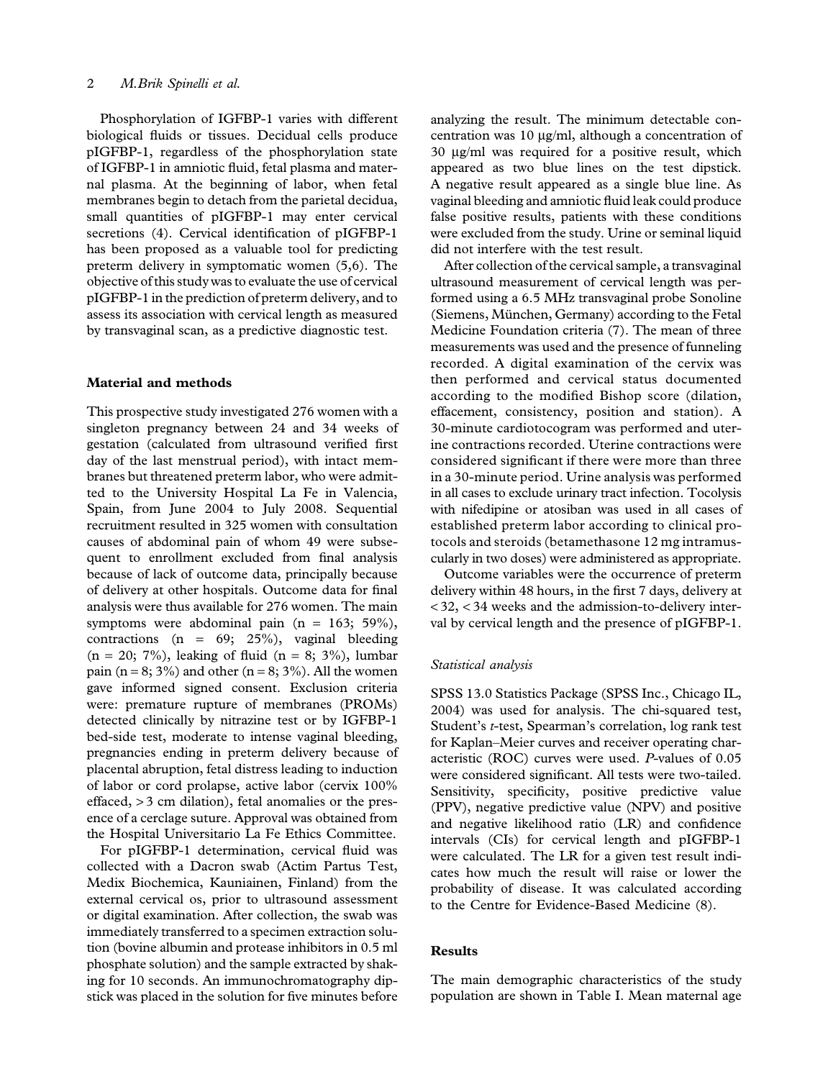Phosphorylation of IGFBP-1 varies with different biological fluids or tissues. Decidual cells produce pIGFBP-1, regardless of the phosphorylation state of IGFBP-1 in amniotic fluid, fetal plasma and maternal plasma. At the beginning of labor, when fetal membranes begin to detach from the parietal decidua, small quantities of pIGFBP-1 may enter cervical secretions (4). Cervical identification of pIGFBP-1 has been proposed as a valuable tool for predicting preterm delivery in symptomatic women (5,6). The objective of this study was to evaluate the use of cervical pIGFBP-1 in the prediction of preterm delivery, and to assess its association with cervical length as measured by transvaginal scan, as a predictive diagnostic test.

### Material and methods

This prospective study investigated 276 women with a singleton pregnancy between 24 and 34 weeks of gestation (calculated from ultrasound verified first day of the last menstrual period), with intact membranes but threatened preterm labor, who were admitted to the University Hospital La Fe in Valencia, Spain, from June 2004 to July 2008. Sequential recruitment resulted in 325 women with consultation causes of abdominal pain of whom 49 were subsequent to enrollment excluded from final analysis because of lack of outcome data, principally because of delivery at other hospitals. Outcome data for final analysis were thus available for 276 women. The main symptoms were abdominal pain  $(n = 163; 59\%),$ contractions (n =  $69; 25\%$ ), vaginal bleeding  $(n = 20; 7\%)$ , leaking of fluid  $(n = 8; 3\%)$ , lumbar pain (n = 8; 3%) and other (n = 8; 3%). All the women gave informed signed consent. Exclusion criteria were: premature rupture of membranes (PROMs) detected clinically by nitrazine test or by IGFBP-1 bed-side test, moderate to intense vaginal bleeding, pregnancies ending in preterm delivery because of placental abruption, fetal distress leading to induction of labor or cord prolapse, active labor (cervix 100% effaced, > 3 cm dilation), fetal anomalies or the presence of a cerclage suture. Approval was obtained from the Hospital Universitario La Fe Ethics Committee.

For pIGFBP-1 determination, cervical fluid was collected with a Dacron swab (Actim Partus Test, Medix Biochemica, Kauniainen, Finland) from the external cervical os, prior to ultrasound assessment or digital examination. After collection, the swab was immediately transferred to a specimen extraction solution (bovine albumin and protease inhibitors in 0.5 ml phosphate solution) and the sample extracted by shaking for 10 seconds. An immunochromatography dipstick was placed in the solution for five minutes before

analyzing the result. The minimum detectable concentration was  $10 \mu g/ml$ , although a concentration of 30 mg/ml was required for a positive result, which appeared as two blue lines on the test dipstick. A negative result appeared as a single blue line. As vaginal bleeding and amniotic fluid leak could produce false positive results, patients with these conditions were excluded from the study. Urine or seminal liquid did not interfere with the test result.

After collection of the cervical sample, a transvaginal ultrasound measurement of cervical length was performed using a 6.5 MHz transvaginal probe Sonoline (Siemens, München, Germany) according to the Fetal Medicine Foundation criteria (7). The mean of three measurements was used and the presence of funneling recorded. A digital examination of the cervix was then performed and cervical status documented according to the modified Bishop score (dilation, effacement, consistency, position and station). A 30-minute cardiotocogram was performed and uterine contractions recorded. Uterine contractions were considered significant if there were more than three in a 30-minute period. Urine analysis was performed in all cases to exclude urinary tract infection. Tocolysis with nifedipine or atosiban was used in all cases of established preterm labor according to clinical protocols and steroids (betamethasone 12 mg intramuscularly in two doses) were administered as appropriate.

Outcome variables were the occurrence of preterm delivery within 48 hours, in the first 7 days, delivery at < 32, < 34 weeks and the admission-to-delivery interval by cervical length and the presence of pIGFBP-1.

#### Statistical analysis

SPSS 13.0 Statistics Package (SPSS Inc., Chicago IL, 2004) was used for analysis. The chi-squared test, Student's t-test, Spearman's correlation, log rank test for Kaplan–Meier curves and receiver operating characteristic (ROC) curves were used. P-values of 0.05 were considered significant. All tests were two-tailed. Sensitivity, specificity, positive predictive value (PPV), negative predictive value (NPV) and positive and negative likelihood ratio (LR) and confidence intervals (CIs) for cervical length and pIGFBP-1 were calculated. The LR for a given test result indicates how much the result will raise or lower the probability of disease. It was calculated according to the Centre for Evidence-Based Medicine (8).

#### Results

The main demographic characteristics of the study population are shown in Table I. Mean maternal age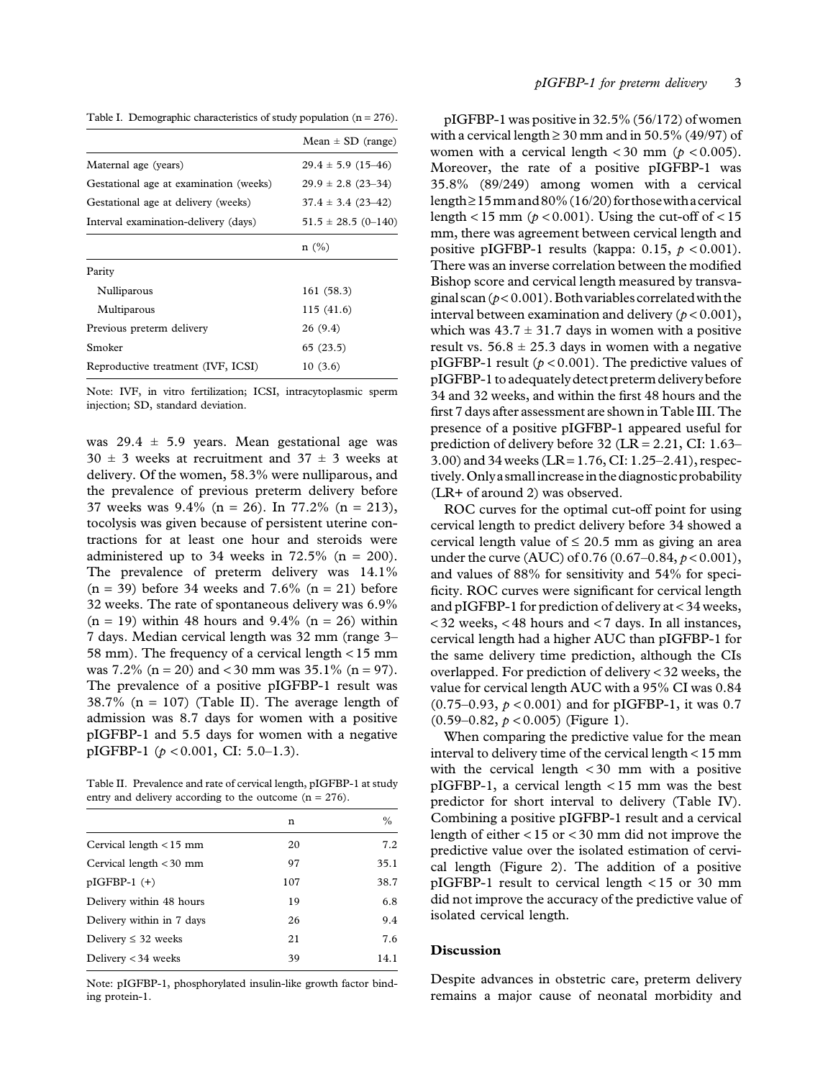Table I. Demographic characteristics of study population  $(n = 276)$ .

|                                        | $Mean \pm SD$ (range)     |
|----------------------------------------|---------------------------|
| Maternal age (years)                   | $29.4 \pm 5.9$ (15-46)    |
| Gestational age at examination (weeks) | $29.9 \pm 2.8$ (23-34)    |
| Gestational age at delivery (weeks)    | $37.4 \pm 3.4$ (23-42)    |
| Interval examination-delivery (days)   | $51.5 \pm 28.5 \ (0-140)$ |
|                                        | n(%)                      |
| Parity                                 |                           |
| Nulliparous                            | 161 (58.3)                |
| Multiparous                            | 115(41.6)                 |
| Previous preterm delivery              | 26 (9.4)                  |
| Smoker                                 | 65(23.5)                  |
| Reproductive treatment (IVF, ICSI)     | 10(3.6)                   |
|                                        |                           |

Note: IVF, in vitro fertilization; ICSI, intracytoplasmic sperm injection; SD, standard deviation.

was  $29.4 \pm 5.9$  years. Mean gestational age was  $30 \pm 3$  weeks at recruitment and  $37 \pm 3$  weeks at delivery. Of the women, 58.3% were nulliparous, and the prevalence of previous preterm delivery before 37 weeks was  $9.4\%$  (n = 26). In 77.2% (n = 213), tocolysis was given because of persistent uterine contractions for at least one hour and steroids were administered up to 34 weeks in  $72.5\%$  (n = 200). The prevalence of preterm delivery was 14.1%  $(n = 39)$  before 34 weeks and 7.6%  $(n = 21)$  before 32 weeks. The rate of spontaneous delivery was 6.9%  $(n = 19)$  within 48 hours and 9.4%  $(n = 26)$  within 7 days. Median cervical length was 32 mm (range 3– 58 mm). The frequency of a cervical length < 15 mm was 7.2% ( $n = 20$ ) and < 30 mm was 35.1% ( $n = 97$ ). The prevalence of a positive pIGFBP-1 result was 38.7% ( $n = 107$ ) (Table II). The average length of admission was 8.7 days for women with a positive pIGFBP-1 and 5.5 days for women with a negative pIGFBP-1 ( $p < 0.001$ , CI: 5.0–1.3).

Table II. Prevalence and rate of cervical length, pIGFBP-1 at study entry and delivery according to the outcome  $(n = 276)$ .

|                           | n   | $\frac{0}{0}$ |
|---------------------------|-----|---------------|
| Cervical length $<$ 15 mm | 20  | 7.2           |
| Cervical length $<$ 30 mm | 97  | 35.1          |
| $pIGFBP-1 (+)$            | 107 | 38.7          |
| Delivery within 48 hours  | 19  | 6.8           |
| Delivery within in 7 days | 26  | 9.4           |
| Delivery $\leq 32$ weeks  | 21  | 7.6           |
| Delivery $<$ 34 weeks     | 39  | 14.1          |

Note: pIGFBP-1, phosphorylated insulin-like growth factor binding protein-1.

pIGFBP-1 was positive in 32.5% (56/172) of women with a cervical length  $\geq 30$  mm and in 50.5% (49/97) of women with a cervical length  $\langle 30 \text{ mm } (p \langle 0.005 \rangle)$ . Moreover, the rate of a positive pIGFBP-1 was 35.8% (89/249) among women with a cervical length  $\geq$  15 mm and 80% (16/20) for those with a cervical length < 15 mm ( $p$  < 0.001). Using the cut-off of < 15 mm, there was agreement between cervical length and positive pIGFBP-1 results (kappa: 0.15,  $p < 0.001$ ). There was an inverse correlation between the modified Bishop score and cervical length measured by transvaginal scan ( $p < 0.001$ ). Both variables correlated with the interval between examination and delivery ( $p < 0.001$ ), which was  $43.7 \pm 31.7$  days in women with a positive result vs.  $56.8 \pm 25.3$  days in women with a negative pIGFBP-1 result ( $p < 0.001$ ). The predictive values of pIGFBP-1 to adequately detect preterm delivery before 34 and 32 weeks, and within the first 48 hours and the first 7 days after assessment are shown in Table III. The presence of a positive pIGFBP-1 appeared useful for prediction of delivery before 32 (LR = 2.21, CI: 1.63– 3.00) and 34 weeks (LR =  $1.76$ , CI:  $1.25-2.41$ ), respectively.Onlya smallincreasein the diagnosticprobability (LR+ of around 2) was observed.

ROC curves for the optimal cut-off point for using cervical length to predict delivery before 34 showed a cervical length value of  $\leq 20.5$  mm as giving an area under the curve (AUC) of 0.76 (0.67–0.84,  $p < 0.001$ ), and values of 88% for sensitivity and 54% for specificity. ROC curves were significant for cervical length and pIGFBP-1 for prediction of delivery at < 34 weeks, < 32 weeks, < 48 hours and < 7 days. In all instances, cervical length had a higher AUC than pIGFBP-1 for the same delivery time prediction, although the CIs overlapped. For prediction of delivery < 32 weeks, the value for cervical length AUC with a 95% CI was 0.84  $(0.75-0.93, p < 0.001)$  and for pIGFBP-1, it was 0.7  $(0.59-0.82, p < 0.005)$  (Figure 1).

When comparing the predictive value for the mean interval to delivery time of the cervical length < 15 mm with the cervical length  $\langle 30 \rangle$  mm with a positive pIGFBP-1, a cervical length < 15 mm was the best predictor for short interval to delivery (Table IV). Combining a positive pIGFBP-1 result and a cervical length of either < 15 or < 30 mm did not improve the predictive value over the isolated estimation of cervical length (Figure 2). The addition of a positive pIGFBP-1 result to cervical length < 15 or 30 mm did not improve the accuracy of the predictive value of isolated cervical length.

## Discussion

Despite advances in obstetric care, preterm delivery remains a major cause of neonatal morbidity and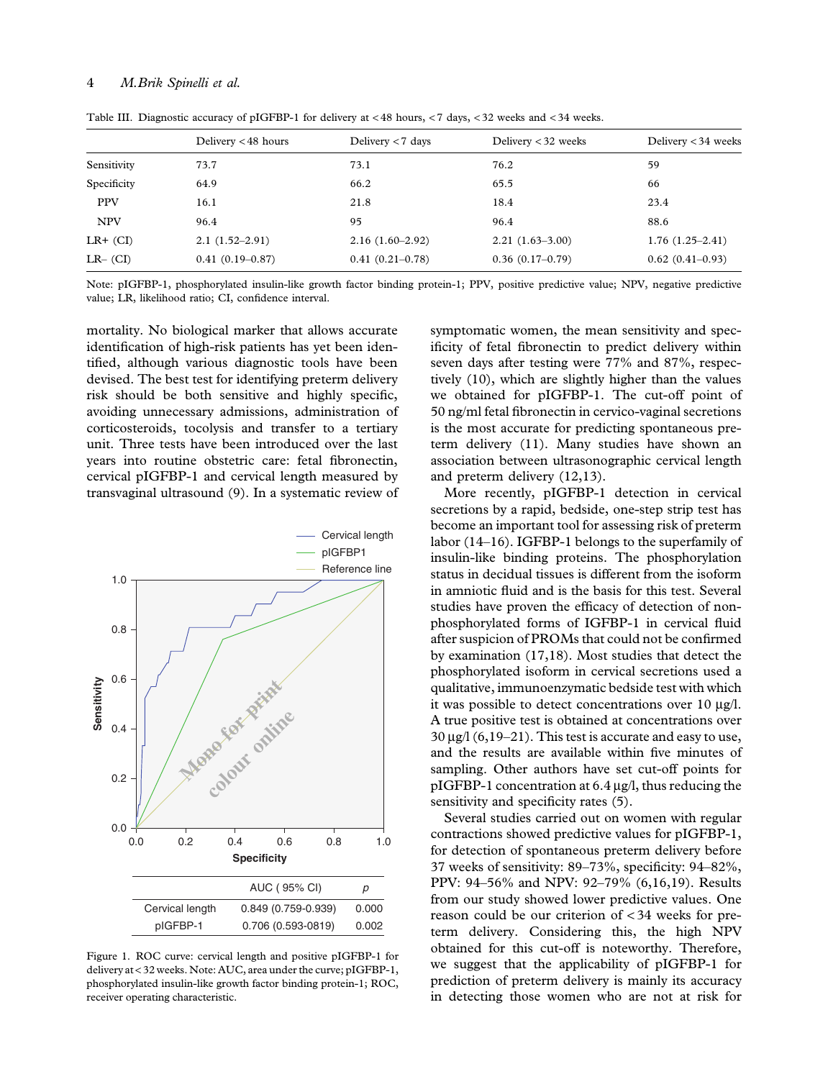#### 4 M.Brik Spinelli et al.

|             | Delivery <48 hours | Delivery $< 7$ days | Delivery $<$ 32 weeks | Delivery $<$ 34 weeks |
|-------------|--------------------|---------------------|-----------------------|-----------------------|
| Sensitivity | 73.7               | 73.1                | 76.2                  | 59                    |
| Specificity | 64.9               | 66.2                | 65.5                  | 66                    |
| <b>PPV</b>  | 16.1               | 21.8                | 18.4                  | 23.4                  |
| <b>NPV</b>  | 96.4               | 95                  | 96.4                  | 88.6                  |
| $LR+$ (CI)  | $2.1(1.52-2.91)$   | $2.16(1.60-2.92)$   | $2.21(1.63-3.00)$     | $1.76(1.25-2.41)$     |
| $LR-$ (CI)  | $0.41(0.19-0.87)$  | $0.41(0.21-0.78)$   | $0.36(0.17-0.79)$     | $0.62(0.41-0.93)$     |

Table III. Diagnostic accuracy of pIGFBP-1 for delivery at < 48 hours, < 7 days, < 32 weeks and < 34 weeks.

Note: pIGFBP-1, phosphorylated insulin-like growth factor binding protein-1; PPV, positive predictive value; NPV, negative predictive value; LR, likelihood ratio; CI, confidence interval.

mortality. No biological marker that allows accurate identification of high-risk patients has yet been identified, although various diagnostic tools have been devised. The best test for identifying preterm delivery risk should be both sensitive and highly specific, avoiding unnecessary admissions, administration of corticosteroids, tocolysis and transfer to a tertiary unit. Three tests have been introduced over the last years into routine obstetric care: fetal fibronectin, cervical pIGFBP-1 and cervical length measured by transvaginal ultrasound (9). In a systematic review of



Figure 1. ROC curve: cervical length and positive pIGFBP-1 for delivery at < 32 weeks. Note: AUC, area under the curve; pIGFBP-1, phosphorylated insulin-like growth factor binding protein-1; ROC, receiver operating characteristic.

symptomatic women, the mean sensitivity and specificity of fetal fibronectin to predict delivery within seven days after testing were 77% and 87%, respectively (10), which are slightly higher than the values we obtained for pIGFBP-1. The cut-off point of 50 ng/ml fetal fibronectin in cervico-vaginal secretions is the most accurate for predicting spontaneous preterm delivery (11). Many studies have shown an association between ultrasonographic cervical length and preterm delivery (12,13).

More recently, pIGFBP-1 detection in cervical secretions by a rapid, bedside, one-step strip test has become an important tool for assessing risk of preterm labor (14–16). IGFBP-1 belongs to the superfamily of insulin-like binding proteins. The phosphorylation status in decidual tissues is different from the isoform in amniotic fluid and is the basis for this test. Several studies have proven the efficacy of detection of nonphosphorylated forms of IGFBP-1 in cervical fluid after suspicion of PROMs that could not be confirmed by examination (17,18). Most studies that detect the phosphorylated isoform in cervical secretions used a qualitative, immunoenzymatic bedside test with which it was possible to detect concentrations over  $10 \mu g/l$ . A true positive test is obtained at concentrations over  $30 \mu$ g/l (6,19–21). This test is accurate and easy to use, and the results are available within five minutes of sampling. Other authors have set cut-off points for pIGFBP-1 concentration at  $6.4 \mu$ g/l, thus reducing the sensitivity and specificity rates  $(5)$ .

Several studies carried out on women with regular contractions showed predictive values for pIGFBP-1, for detection of spontaneous preterm delivery before 37 weeks of sensitivity: 89–73%, specificity: 94–82%, PPV: 94–56% and NPV: 92–79% (6,16,19). Results from our study showed lower predictive values. One reason could be our criterion of < 34 weeks for preterm delivery. Considering this, the high NPV obtained for this cut-off is noteworthy. Therefore, we suggest that the applicability of pIGFBP-1 for prediction of preterm delivery is mainly its accuracy in detecting those women who are not at risk for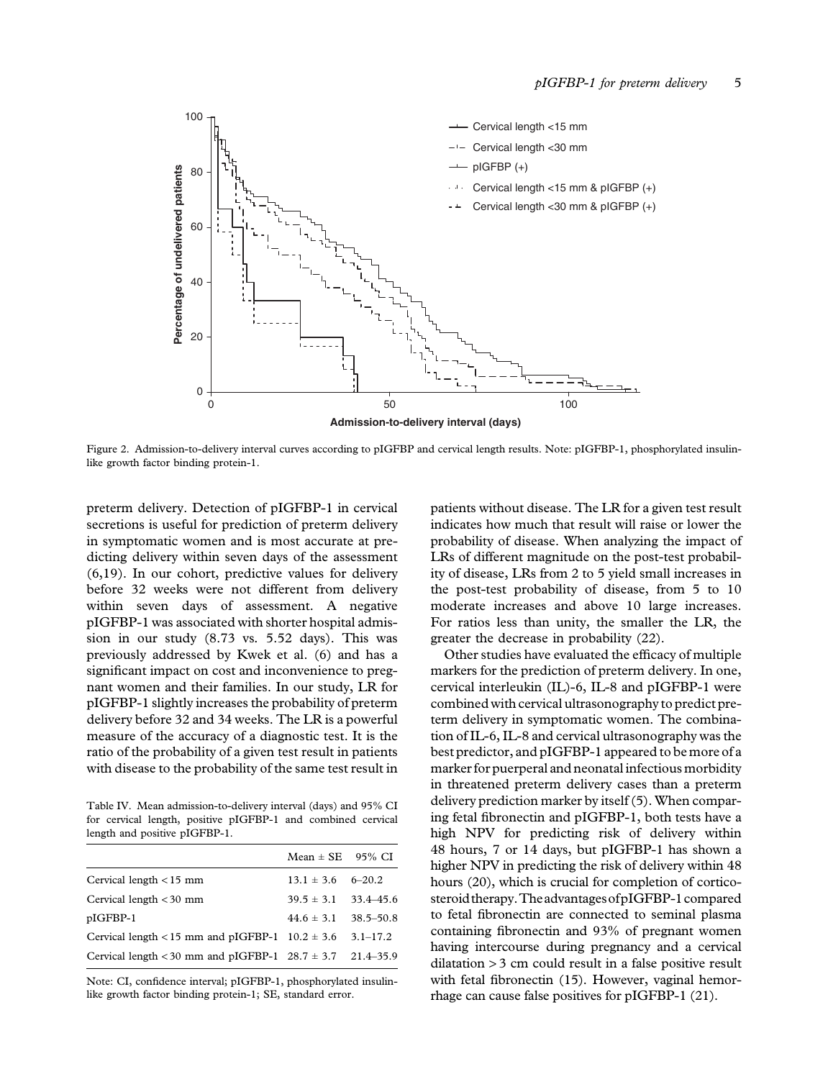

Figure 2. Admission-to-delivery interval curves according to pIGFBP and cervical length results. Note: pIGFBP-1, phosphorylated insulinlike growth factor binding protein-1.

preterm delivery. Detection of pIGFBP-1 in cervical secretions is useful for prediction of preterm delivery in symptomatic women and is most accurate at predicting delivery within seven days of the assessment (6,19). In our cohort, predictive values for delivery before 32 weeks were not different from delivery within seven days of assessment. A negative pIGFBP-1 was associated with shorter hospital admission in our study (8.73 vs. 5.52 days). This was previously addressed by Kwek et al. (6) and has a significant impact on cost and inconvenience to pregnant women and their families. In our study, LR for pIGFBP-1 slightly increases the probability of preterm delivery before 32 and 34 weeks. The LR is a powerful measure of the accuracy of a diagnostic test. It is the ratio of the probability of a given test result in patients with disease to the probability of the same test result in

Table IV. Mean admission-to-delivery interval (days) and 95% CI for cervical length, positive pIGFBP-1 and combined cervical length and positive pIGFBP-1.

|                                                                   | $Mean \pm SE$ 95% CI         |  |
|-------------------------------------------------------------------|------------------------------|--|
| Cervical length $<$ 15 mm                                         | $13.1 \pm 3.6$ 6-20.2        |  |
| Cervical length $<$ 30 mm                                         | $39.5 \pm 3.1$ $33.4 - 45.6$ |  |
| pIGFBP-1                                                          | $44.6 \pm 3.1$ 38.5-50.8     |  |
| Cervical length < 15 mm and pIGFBP-1 $10.2 \pm 3.6$ 3.1–17.2      |                              |  |
| Cervical length < 30 mm and pIGFBP-1 $28.7 \pm 3.7$ $21.4 - 35.9$ |                              |  |
|                                                                   |                              |  |

Note: CI, confidence interval; pIGFBP-1, phosphorylated insulinlike growth factor binding protein-1; SE, standard error.

patients without disease. The LR for a given test result indicates how much that result will raise or lower the probability of disease. When analyzing the impact of LRs of different magnitude on the post-test probability of disease, LRs from 2 to 5 yield small increases in the post-test probability of disease, from 5 to 10 moderate increases and above 10 large increases. For ratios less than unity, the smaller the LR, the greater the decrease in probability (22).

Other studies have evaluated the efficacy of multiple markers for the prediction of preterm delivery. In one, cervical interleukin (IL)-6, IL-8 and pIGFBP-1 were combined with cervical ultrasonography to predict preterm delivery in symptomatic women. The combination of IL-6, IL-8 and cervical ultrasonography was the best predictor, and pIGFBP-1 appeared to be more of a marker for puerperal and neonatal infectious morbidity in threatened preterm delivery cases than a preterm delivery prediction marker by itself (5). When comparing fetal fibronectin and pIGFBP-1, both tests have a high NPV for predicting risk of delivery within 48 hours, 7 or 14 days, but pIGFBP-1 has shown a higher NPV in predicting the risk of delivery within 48 hours (20), which is crucial for completion of corticosteroid therapy.TheadvantagesofpIGFBP-1compared to fetal fibronectin are connected to seminal plasma containing fibronectin and 93% of pregnant women having intercourse during pregnancy and a cervical dilatation > 3 cm could result in a false positive result with fetal fibronectin (15). However, vaginal hemorrhage can cause false positives for pIGFBP-1 (21).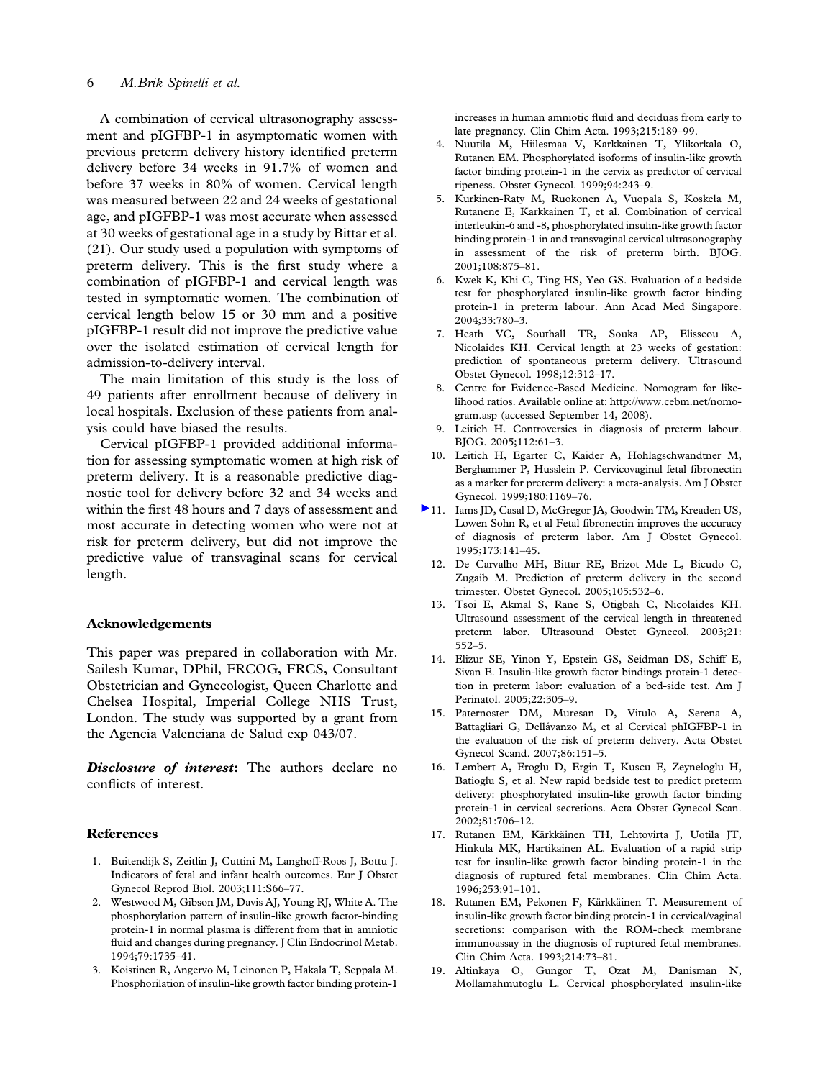## 6 M.Brik Spinelli et al.

A combination of cervical ultrasonography assessment and pIGFBP-1 in asymptomatic women with previous preterm delivery history identified preterm delivery before 34 weeks in 91.7% of women and before 37 weeks in 80% of women. Cervical length was measured between 22 and 24 weeks of gestational age, and pIGFBP-1 was most accurate when assessed at 30 weeks of gestational age in a study by Bittar et al. (21). Our study used a population with symptoms of preterm delivery. This is the first study where a combination of pIGFBP-1 and cervical length was tested in symptomatic women. The combination of cervical length below 15 or 30 mm and a positive pIGFBP-1 result did not improve the predictive value over the isolated estimation of cervical length for admission-to-delivery interval.

The main limitation of this study is the loss of 49 patients after enrollment because of delivery in local hospitals. Exclusion of these patients from analysis could have biased the results.

Cervical pIGFBP-1 provided additional information for assessing symptomatic women at high risk of preterm delivery. It is a reasonable predictive diagnostic tool for delivery before 32 and 34 weeks and within the first 48 hours and 7 days of assessment and most accurate in detecting women who were not at risk for preterm delivery, but did not improve the predictive value of transvaginal scans for cervical length.

#### Acknowledgements

This paper was prepared in collaboration with Mr. Sailesh Kumar, DPhil, FRCOG, FRCS, Consultant Obstetrician and Gynecologist, Queen Charlotte and Chelsea Hospital, Imperial College NHS Trust, London. The study was supported by a grant from the Agencia Valenciana de Salud exp 043/07.

Disclosure of interest: The authors declare no conflicts of interest.

#### References

- 1. Buitendijk S, Zeitlin J, Cuttini M, Langhoff-Roos J, Bottu J. Indicators of fetal and infant health outcomes. Eur J Obstet Gynecol Reprod Biol. 2003;111:S66–77.
- 2. Westwood M, Gibson JM, Davis AJ, Young RJ, White A. The phosphorylation pattern of insulin-like growth factor-binding protein-1 in normal plasma is different from that in amniotic fluid and changes during pregnancy. J Clin Endocrinol Metab. 1994;79:1735–41.
- 3. Koistinen R, Angervo M, Leinonen P, Hakala T, Seppala M. Phosphorilation of insulin-like growth factor binding protein-1

increases in human amniotic fluid and deciduas from early to late pregnancy. Clin Chim Acta. 1993;215:189–99.

- 4. Nuutila M, Hiilesmaa V, Karkkainen T, Ylikorkala O, Rutanen EM. Phosphorylated isoforms of insulin-like growth factor binding protein-1 in the cervix as predictor of cervical ripeness. Obstet Gynecol. 1999;94:243–9.
- 5. Kurkinen-Raty M, Ruokonen A, Vuopala S, Koskela M, Rutanene E, Karkkainen T, et al. Combination of cervical interleukin-6 and -8, phosphorylated insulin-like growth factor binding protein-1 in and transvaginal cervical ultrasonography in assessment of the risk of preterm birth. BJOG. 2001;108:875–81.
- 6. Kwek K, Khi C, Ting HS, Yeo GS. Evaluation of a bedside test for phosphorylated insulin-like growth factor binding protein-1 in preterm labour. Ann Acad Med Singapore. 2004;33:780–3.
- 7. Heath VC, Southall TR, Souka AP, Elisseou A, Nicolaides KH. Cervical length at 23 weeks of gestation: prediction of spontaneous preterm delivery. Ultrasound Obstet Gynecol. 1998;12:312–17.
- 8. Centre for Evidence-Based Medicine. Nomogram for likelihood ratios. Available online at: http://www.cebm.net/nomogram.asp (accessed September 14, 2008).
- 9. Leitich H. Controversies in diagnosis of preterm labour. BJOG. 2005;112:61–3.
- 10. Leitich H, Egarter C, Kaider A, Hohlagschwandtner M, Berghammer P, Husslein P. Cervicovaginal fetal fibronectin as a marker for preterm delivery: a meta-analysis. Am J Obstet Gynecol. 1999;180:1169–76.
- 11. Iams JD, Casal D, McGregor JA, Goodwin TM, Kreaden US, Lowen Sohn R, et al Fetal fibronectin improves the accuracy of diagnosis of preterm labor. Am J Obstet Gynecol. 1995;173:141–45.
	- 12. De Carvalho MH, Bittar RE, Brizot Mde L, Bicudo C, Zugaib M. Prediction of preterm delivery in the second trimester. Obstet Gynecol. 2005;105:532–6.
	- 13. Tsoi E, Akmal S, Rane S, Otigbah C, Nicolaides KH. Ultrasound assessment of the cervical length in threatened preterm labor. Ultrasound Obstet Gynecol. 2003;21: 552–5.
	- 14. Elizur SE, Yinon Y, Epstein GS, Seidman DS, Schiff E, Sivan E. Insulin-like growth factor bindings protein-1 detection in preterm labor: evaluation of a bed-side test. Am J Perinatol. 2005;22:305–9.
	- 15. Paternoster DM, Muresan D, Vitulo A, Serena A, Battagliari G, Dellávanzo M, et al Cervical phIGFBP-1 in the evaluation of the risk of preterm delivery. Acta Obstet Gynecol Scand. 2007;86:151–5.
	- 16. Lembert A, Eroglu D, Ergin T, Kuscu E, Zeyneloglu H, Batioglu S, et al. New rapid bedside test to predict preterm delivery: phosphorylated insulin-like growth factor binding protein-1 in cervical secretions. Acta Obstet Gynecol Scan. 2002;81:706–12.
	- 17. Rutanen EM, Kärkkäinen TH, Lehtovirta J, Uotila JT, Hinkula MK, Hartikainen AL. Evaluation of a rapid strip test for insulin-like growth factor binding protein-1 in the diagnosis of ruptured fetal membranes. Clin Chim Acta. 1996;253:91–101.
	- 18. Rutanen EM, Pekonen F, Kärkkäinen T. Measurement of insulin-like growth factor binding protein-1 in cervical/vaginal secretions: comparison with the ROM-check membrane immunoassay in the diagnosis of ruptured fetal membranes. Clin Chim Acta. 1993;214:73–81.
	- 19. Altinkaya O, Gungor T, Ozat M, Danisman N, Mollamahmutoglu L. Cervical phosphorylated insulin-like